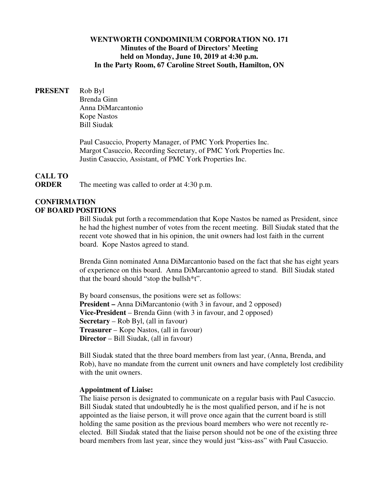#### **WENTWORTH CONDOMINIUM CORPORATION NO. 171 Minutes of the Board of Directors' Meeting held on Monday, June 10, 2019 at 4:30 p.m. In the Party Room, 67 Caroline Street South, Hamilton, ON**

#### **PRESENT** Rob Byl

 Brenda Ginn Anna DiMarcantonio Kope Nastos Bill Siudak

 Paul Casuccio, Property Manager, of PMC York Properties Inc. Margot Casuccio, Recording Secretary, of PMC York Properties Inc. Justin Casuccio, Assistant, of PMC York Properties Inc.

# **CALL TO**

**ORDER** The meeting was called to order at 4:30 p.m.

#### **CONFIRMATION OF BOARD POSITIONS**

Bill Siudak put forth a recommendation that Kope Nastos be named as President, since he had the highest number of votes from the recent meeting. Bill Siudak stated that the recent vote showed that in his opinion, the unit owners had lost faith in the current board. Kope Nastos agreed to stand.

Brenda Ginn nominated Anna DiMarcantonio based on the fact that she has eight years of experience on this board. Anna DiMarcantonio agreed to stand. Bill Siudak stated that the board should "stop the bullsh\*t".

By board consensus, the positions were set as follows: **President –** Anna DiMarcantonio (with 3 in favour, and 2 opposed) **Vice-President** – Brenda Ginn (with 3 in favour, and 2 opposed) **Secretary** – Rob Byl, (all in favour) **Treasurer** – Kope Nastos, (all in favour) **Director** – Bill Siudak, (all in favour)

Bill Siudak stated that the three board members from last year, (Anna, Brenda, and Rob), have no mandate from the current unit owners and have completely lost credibility with the unit owners.

#### **Appointment of Liaise:**

The liaise person is designated to communicate on a regular basis with Paul Casuccio. Bill Siudak stated that undoubtedly he is the most qualified person, and if he is not appointed as the liaise person, it will prove once again that the current board is still holding the same position as the previous board members who were not recently reelected. Bill Siudak stated that the liaise person should not be one of the existing three board members from last year, since they would just "kiss-ass" with Paul Casuccio.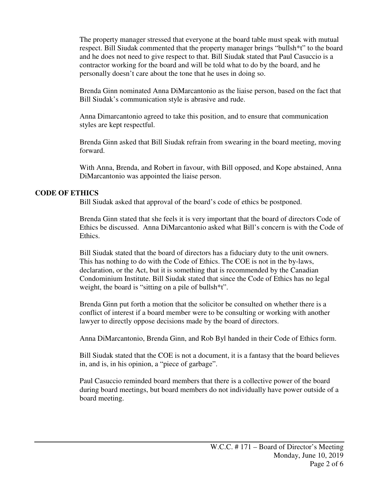The property manager stressed that everyone at the board table must speak with mutual respect. Bill Siudak commented that the property manager brings "bullsh\*t" to the board and he does not need to give respect to that. Bill Siudak stated that Paul Casuccio is a contractor working for the board and will be told what to do by the board, and he personally doesn't care about the tone that he uses in doing so.

Brenda Ginn nominated Anna DiMarcantonio as the liaise person, based on the fact that Bill Siudak's communication style is abrasive and rude.

Anna Dimarcantonio agreed to take this position, and to ensure that communication styles are kept respectful.

Brenda Ginn asked that Bill Siudak refrain from swearing in the board meeting, moving forward.

With Anna, Brenda, and Robert in favour, with Bill opposed, and Kope abstained, Anna DiMarcantonio was appointed the liaise person.

#### **CODE OF ETHICS**

Bill Siudak asked that approval of the board's code of ethics be postponed.

Brenda Ginn stated that she feels it is very important that the board of directors Code of Ethics be discussed. Anna DiMarcantonio asked what Bill's concern is with the Code of Ethics.

Bill Siudak stated that the board of directors has a fiduciary duty to the unit owners. This has nothing to do with the Code of Ethics. The COE is not in the by-laws, declaration, or the Act, but it is something that is recommended by the Canadian Condominium Institute. Bill Siudak stated that since the Code of Ethics has no legal weight, the board is "sitting on a pile of bullsh<sup>\*t".</sup>

Brenda Ginn put forth a motion that the solicitor be consulted on whether there is a conflict of interest if a board member were to be consulting or working with another lawyer to directly oppose decisions made by the board of directors.

Anna DiMarcantonio, Brenda Ginn, and Rob Byl handed in their Code of Ethics form.

Bill Siudak stated that the COE is not a document, it is a fantasy that the board believes in, and is, in his opinion, a "piece of garbage".

Paul Casuccio reminded board members that there is a collective power of the board during board meetings, but board members do not individually have power outside of a board meeting.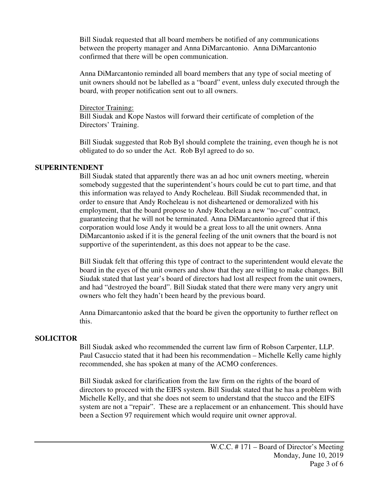Bill Siudak requested that all board members be notified of any communications between the property manager and Anna DiMarcantonio. Anna DiMarcantonio confirmed that there will be open communication.

Anna DiMarcantonio reminded all board members that any type of social meeting of unit owners should not be labelled as a "board" event, unless duly executed through the board, with proper notification sent out to all owners.

Director Training:

Bill Siudak and Kope Nastos will forward their certificate of completion of the Directors' Training.

Bill Siudak suggested that Rob Byl should complete the training, even though he is not obligated to do so under the Act. Rob Byl agreed to do so.

### **SUPERINTENDENT**

Bill Siudak stated that apparently there was an ad hoc unit owners meeting, wherein somebody suggested that the superintendent's hours could be cut to part time, and that this information was relayed to Andy Rocheleau. Bill Siudak recommended that, in order to ensure that Andy Rocheleau is not disheartened or demoralized with his employment, that the board propose to Andy Rocheleau a new "no-cut" contract, guaranteeing that he will not be terminated. Anna DiMarcantonio agreed that if this corporation would lose Andy it would be a great loss to all the unit owners. Anna DiMarcantonio asked if it is the general feeling of the unit owners that the board is not supportive of the superintendent, as this does not appear to be the case.

Bill Siudak felt that offering this type of contract to the superintendent would elevate the board in the eyes of the unit owners and show that they are willing to make changes. Bill Siudak stated that last year's board of directors had lost all respect from the unit owners, and had "destroyed the board". Bill Siudak stated that there were many very angry unit owners who felt they hadn't been heard by the previous board.

Anna Dimarcantonio asked that the board be given the opportunity to further reflect on this.

### **SOLICITOR**

Bill Siudak asked who recommended the current law firm of Robson Carpenter, LLP. Paul Casuccio stated that it had been his recommendation – Michelle Kelly came highly recommended, she has spoken at many of the ACMO conferences.

Bill Siudak asked for clarification from the law firm on the rights of the board of directors to proceed with the EIFS system. Bill Siudak stated that he has a problem with Michelle Kelly, and that she does not seem to understand that the stucco and the EIFS system are not a "repair". These are a replacement or an enhancement. This should have been a Section 97 requirement which would require unit owner approval.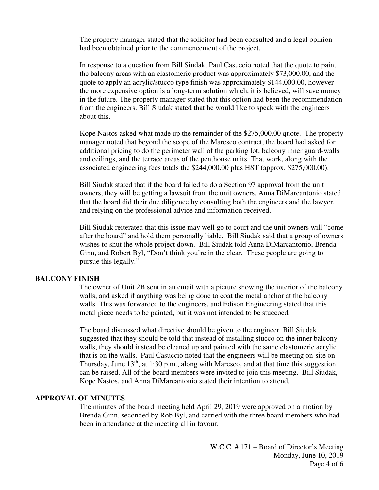The property manager stated that the solicitor had been consulted and a legal opinion had been obtained prior to the commencement of the project.

In response to a question from Bill Siudak, Paul Casuccio noted that the quote to paint the balcony areas with an elastomeric product was approximately \$73,000.00, and the quote to apply an acrylic/stucco type finish was approximately \$144,000.00, however the more expensive option is a long-term solution which, it is believed, will save money in the future. The property manager stated that this option had been the recommendation from the engineers. Bill Siudak stated that he would like to speak with the engineers about this.

Kope Nastos asked what made up the remainder of the \$275,000.00 quote. The property manager noted that beyond the scope of the Maresco contract, the board had asked for additional pricing to do the perimeter wall of the parking lot, balcony inner guard-walls and ceilings, and the terrace areas of the penthouse units. That work, along with the associated engineering fees totals the \$244,000.00 plus HST (approx. \$275,000.00).

Bill Siudak stated that if the board failed to do a Section 97 approval from the unit owners, they will be getting a lawsuit from the unit owners. Anna DiMarcantonio stated that the board did their due diligence by consulting both the engineers and the lawyer, and relying on the professional advice and information received.

Bill Siudak reiterated that this issue may well go to court and the unit owners will "come after the board" and hold them personally liable. Bill Siudak said that a group of owners wishes to shut the whole project down. Bill Siudak told Anna DiMarcantonio, Brenda Ginn, and Robert Byl, "Don't think you're in the clear. These people are going to pursue this legally."

### **BALCONY FINISH**

The owner of Unit 2B sent in an email with a picture showing the interior of the balcony walls, and asked if anything was being done to coat the metal anchor at the balcony walls. This was forwarded to the engineers, and Edison Engineering stated that this metal piece needs to be painted, but it was not intended to be stuccoed.

The board discussed what directive should be given to the engineer. Bill Siudak suggested that they should be told that instead of installing stucco on the inner balcony walls, they should instead be cleaned up and painted with the same elastomeric acrylic that is on the walls. Paul Casuccio noted that the engineers will be meeting on-site on Thursday, June  $13<sup>th</sup>$ , at 1:30 p.m., along with Maresco, and at that time this suggestion can be raised. All of the board members were invited to join this meeting. Bill Siudak, Kope Nastos, and Anna DiMarcantonio stated their intention to attend.

#### **APPROVAL OF MINUTES**

The minutes of the board meeting held April 29, 2019 were approved on a motion by Brenda Ginn, seconded by Rob Byl, and carried with the three board members who had been in attendance at the meeting all in favour.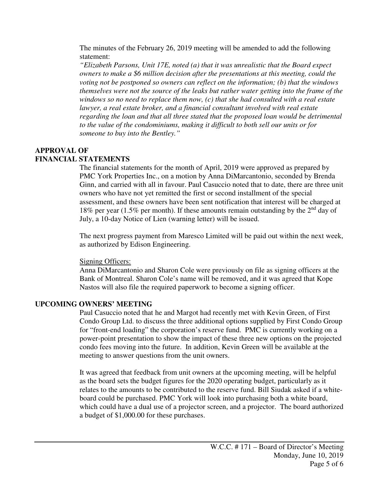The minutes of the February 26, 2019 meeting will be amended to add the following statement:

*"Elizabeth Parsons, Unit 17E, noted (a) that it was unrealistic that the Board expect owners to make a \$6 million decision after the presentations at this meeting, could the voting not be postponed so owners can reflect on the information; (b) that the windows themselves were not the source of the leaks but rather water getting into the frame of the windows so no need to replace them now, (c) that she had consulted with a real estate lawyer, a real estate broker, and a financial consultant involved with real estate regarding the loan and that all three stated that the proposed loan would be detrimental to the value of the condominiums, making it difficult to both sell our units or for someone to buy into the Bentley."* 

### **APPROVAL OF FINANCIAL STATEMENTS**

The financial statements for the month of April, 2019 were approved as prepared by PMC York Properties Inc., on a motion by Anna DiMarcantonio, seconded by Brenda Ginn, and carried with all in favour. Paul Casuccio noted that to date, there are three unit owners who have not yet remitted the first or second installment of the special assessment, and these owners have been sent notification that interest will be charged at 18% per year (1.5% per month). If these amounts remain outstanding by the  $2<sup>nd</sup>$  day of July, a 10-day Notice of Lien (warning letter) will be issued.

The next progress payment from Maresco Limited will be paid out within the next week, as authorized by Edison Engineering.

### Signing Officers:

Anna DiMarcantonio and Sharon Cole were previously on file as signing officers at the Bank of Montreal. Sharon Cole's name will be removed, and it was agreed that Kope Nastos will also file the required paperwork to become a signing officer.

# **UPCOMING OWNERS' MEETING**

Paul Casuccio noted that he and Margot had recently met with Kevin Green, of First Condo Group Ltd. to discuss the three additional options supplied by First Condo Group for "front-end loading" the corporation's reserve fund. PMC is currently working on a power-point presentation to show the impact of these three new options on the projected condo fees moving into the future. In addition, Kevin Green will be available at the meeting to answer questions from the unit owners.

It was agreed that feedback from unit owners at the upcoming meeting, will be helpful as the board sets the budget figures for the 2020 operating budget, particularly as it relates to the amounts to be contributed to the reserve fund. Bill Siudak asked if a whiteboard could be purchased. PMC York will look into purchasing both a white board, which could have a dual use of a projector screen, and a projector. The board authorized a budget of \$1,000.00 for these purchases.